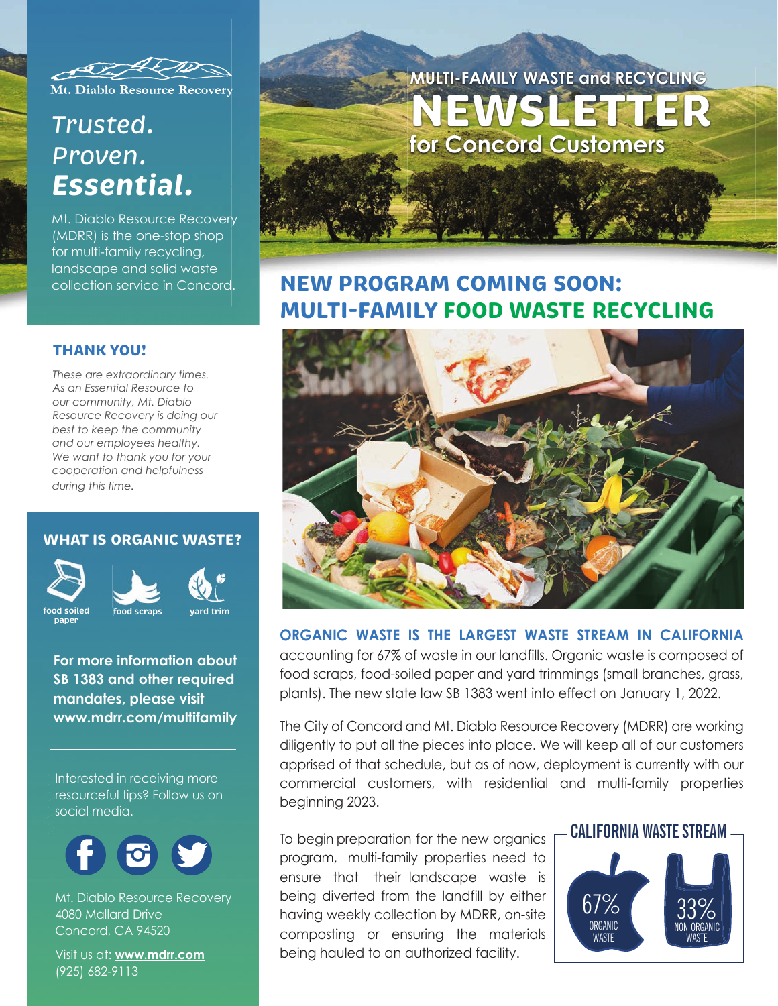

Mt. Diablo Resource Recovery

# *Trusted. Proven. Essential.*

Mt. Diablo Resource Recovery (MDRR) is the one-stop shop for multi-family recycling, landscape and solid waste collection service in Concord.

#### **THANK YOU!**

*These are extraordinary times. As an Essential Resource to our community, Mt. Diablo Resource Recovery is doing our best to keep the community and our employees healthy. We want to thank you for your cooperation and helpfulness during this time.*

### **WHAT IS ORGANIC WASTE?**



**paper**



**For more information about SB 1383 and other required mandates, please visit www.mdrr.com/multifamily**

Interested in receiving more

resourceful tips? Follow us on social media.



Mt. Diablo Resource Recovery 4080 Mallard Drive Concord, CA 94520

Visit us at: **www.mdrr.com** (925) 682-9113



## **NEW PROGRAM COMING SOON: MULTI-FAMILY FOOD WASTE RECYCLING**



### **ORGANIC WASTE IS THE LARGEST WASTE STREAM IN CALIFORNIA**

accounting for 67% of waste in our landfills. Organic waste is composed of food scraps, food-soiled paper and yard trimmings (small branches, grass, plants). The new state law SB 1383 went into effect on January 1, 2022.

The City of Concord and Mt. Diablo Resource Recovery (MDRR) are working diligently to put all the pieces into place. We will keep all of our customers apprised of that schedule, but as of now, deployment is currently with our commercial customers, with residential and multi-family properties beginning 2023.

To begin preparation for the new organics **F CALIFORNIA WASTE STREAM** program, multi-family properties need to ensure that their landscape waste is being diverted from the landfill by either having weekly collection by MDRR, on-site composting or ensuring the materials being hauled to an authorized facility.